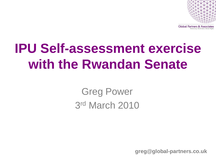

# **IPU Self-assessment exercise with the Rwandan Senate**

Greg Power 3 rd March 2010

**greg@global-partners.co.uk**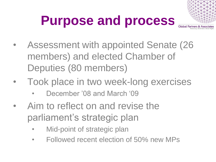# **Purpose and process**



- Assessment with appointed Senate (26 members) and elected Chamber of Deputies (80 members)
- Took place in two week-long exercises
	- December '08 and March '09
- Aim to reflect on and revise the parliament's strategic plan
	- Mid-point of strategic plan
	- Followed recent election of 50% new MPs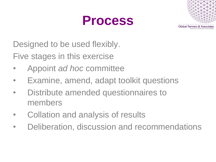



Designed to be used flexibly.

Five stages in this exercise

- Appoint *ad hoc* committee
- Examine, amend, adapt toolkit questions
- Distribute amended questionnaires to members
- Collation and analysis of results
- Deliberation, discussion and recommendations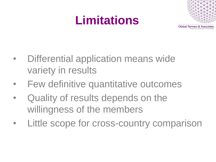### **Limitations**



- Differential application means wide variety in results
- Few definitive quantitative outcomes
- Quality of results depends on the willingness of the members
- Little scope for cross-country comparison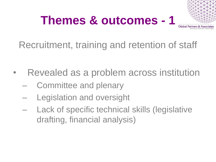

Recruitment, training and retention of staff

- Revealed as a problem across institution
	- Committee and plenary
	- Legislation and oversight
	- Lack of specific technical skills (legislative drafting, financial analysis)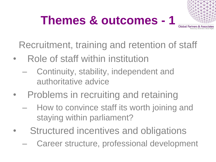

Recruitment, training and retention of staff

- Role of staff within institution
	- Continuity, stability, independent and authoritative advice
- Problems in recruiting and retaining
	- How to convince staff its worth joining and staying within parliament?
- Structured incentives and obligations
	- Career structure, professional development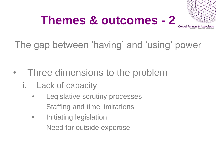

The gap between 'having' and 'using' power

- Three dimensions to the problem
	- i. Lack of capacity
		- Legislative scrutiny processes Staffing and time limitations
		- Initiating legislation Need for outside expertise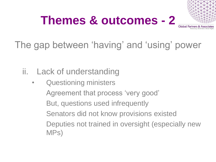

### The gap between 'having' and 'using' power

#### ii. Lack of understanding

Questioning ministers Agreement that process 'very good' But, questions used infrequently Senators did not know provisions existed Deputies not trained in oversight (especially new MPs)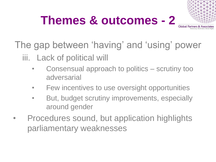

The gap between 'having' and 'using' power iii. Lack of political will

- Consensual approach to politics scrutiny too adversarial
- Few incentives to use oversight opportunities
- But, budget scrutiny improvements, especially around gender
- Procedures sound, but application highlights parliamentary weaknesses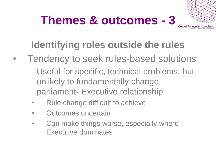

### **Identifying roles outside the rules**

- Tendency to seek rules-based solutions Useful for specific, technical problems, but unlikely to fundamentally change parliament- Executive relationship
	- Rule change difficult to achieve
	- Outcomes uncertain
	- Can make things worse, especially where Executive dominates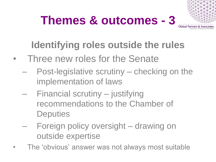

### **Identifying roles outside the rules**

- Three new roles for the Senate
	- Post-legislative scrutiny checking on the implementation of laws
	- Financial scrutiny justifying recommendations to the Chamber of **Deputies**
	- Foreign policy oversight drawing on outside expertise
- The 'obvious' answer was not always most suitable